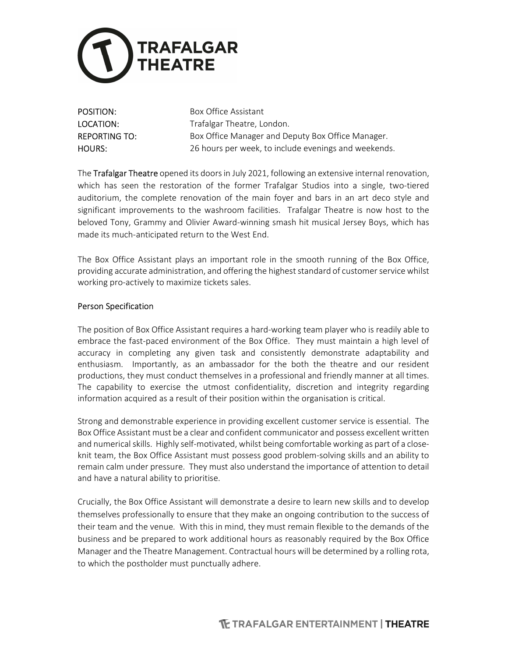

| POSITION:     |
|---------------|
| LOCATION:     |
| REPORTING TO: |
| <b>HOURS:</b> |

Box Office Assistant Trafalgar Theatre, London. Box Office Manager and Deputy Box Office Manager. 26 hours per week, to include evenings and weekends.

The Trafalgar Theatre opened its doors in July 2021, following an extensive internal renovation, which has seen the restoration of the former Trafalgar Studios into a single, two-tiered auditorium, the complete renovation of the main foyer and bars in an art deco style and significant improvements to the washroom facilities. Trafalgar Theatre is now host to the beloved Tony, Grammy and Olivier Award-winning smash hit musical Jersey Boys, which has made its much-anticipated return to the West End.

The Box Office Assistant plays an important role in the smooth running of the Box Office, providing accurate administration, and offering the highest standard of customer service whilst working pro-actively to maximize tickets sales.

### Person Specification

The position of Box Office Assistant requires a hard-working team player who is readily able to embrace the fast-paced environment of the Box Office. They must maintain a high level of accuracy in completing any given task and consistently demonstrate adaptability and enthusiasm. Importantly, as an ambassador for the both the theatre and our resident productions, they must conduct themselves in a professional and friendly manner at all times. The capability to exercise the utmost confidentiality, discretion and integrity regarding information acquired as a result of their position within the organisation is critical.

Strong and demonstrable experience in providing excellent customer service is essential. The Box Office Assistant must be a clear and confident communicator and possess excellent written and numerical skills. Highly self-motivated, whilst being comfortable working as part of a closeknit team, the Box Office Assistant must possess good problem-solving skills and an ability to remain calm under pressure. They must also understand the importance of attention to detail and have a natural ability to prioritise.

Crucially, the Box Office Assistant will demonstrate a desire to learn new skills and to develop themselves professionally to ensure that they make an ongoing contribution to the success of their team and the venue. With this in mind, they must remain flexible to the demands of the business and be prepared to work additional hours as reasonably required by the Box Office Manager and the Theatre Management. Contractual hours will be determined by a rolling rota, to which the postholder must punctually adhere.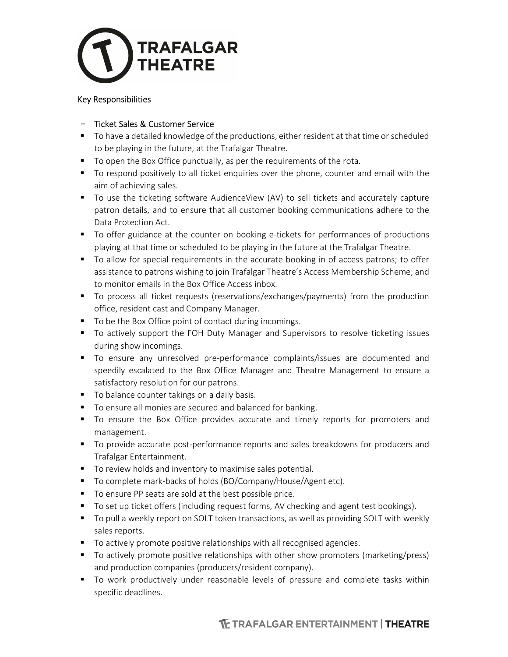

### Key Responsibilities

# - Ticket Sales & Customer Service

- $\blacksquare$  To have a detailed knowledge of the productions, either resident at that time or scheduled to be playing in the future, at the Trafalgar Theatre.
- To open the Box Office punctually, as per the requirements of the rota.
- To respond positively to all ticket enquiries over the phone, counter and email with the aim of achieving sales.
- To use the ticketing software AudienceView (AV) to sell tickets and accurately capture patron details, and to ensure that all customer booking communications adhere to the Data Protection Act.
- To offer guidance at the counter on booking e-tickets for performances of productions playing at that time or scheduled to be playing in the future at the Trafalgar Theatre.
- To allow for special requirements in the accurate booking in of access patrons; to offer assistance to patrons wishing to join Trafalgar Theatre's Access Membership Scheme; and to monitor emails in the Box Office Access inbox.
- To process all ticket requests (reservations/exchanges/payments) from the production office, resident cast and Company Manager.
- To be the Box Office point of contact during incomings.
- To actively support the FOH Duty Manager and Supervisors to resolve ticketing issues during show incomings.
- To ensure any unresolved pre-performance complaints/issues are documented and speedily escalated to the Box Office Manager and Theatre Management to ensure a satisfactory resolution for our patrons.
- To balance counter takings on a daily basis.
- To ensure all monies are secured and balanced for banking.
- To ensure the Box Office provides accurate and timely reports for promoters and management.
- To provide accurate post-performance reports and sales breakdowns for producers and Trafalgar Entertainment.
- To review holds and inventory to maximise sales potential.
- To complete mark-backs of holds (BO/Company/House/Agent etc).
- To ensure PP seats are sold at the best possible price.
- To set up ticket offers (including request forms, AV checking and agent test bookings).
- To pull a weekly report on SOLT token transactions, as well as providing SOLT with weekly sales reports.
- To actively promote positive relationships with all recognised agencies.
- To actively promote positive relationships with other show promoters (marketing/press) and production companies (producers/resident company).
- To work productively under reasonable levels of pressure and complete tasks within specific deadlines.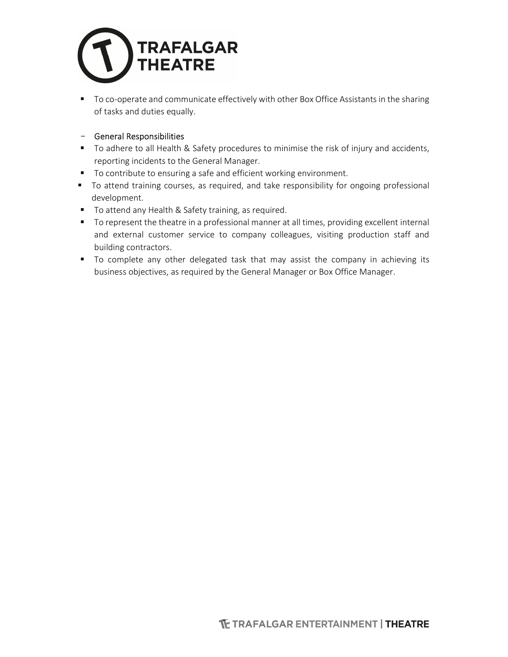

 To co-operate and communicate effectively with other Box Office Assistants in the sharing of tasks and duties equally.

# - General Responsibilities

- To adhere to all Health & Safety procedures to minimise the risk of injury and accidents, reporting incidents to the General Manager.
- $\blacksquare$  To contribute to ensuring a safe and efficient working environment.
- To attend training courses, as required, and take responsibility for ongoing professional development.
- To attend any Health & Safety training, as required.
- To represent the theatre in a professional manner at all times, providing excellent internal and external customer service to company colleagues, visiting production staff and building contractors.
- To complete any other delegated task that may assist the company in achieving its business objectives, as required by the General Manager or Box Office Manager.